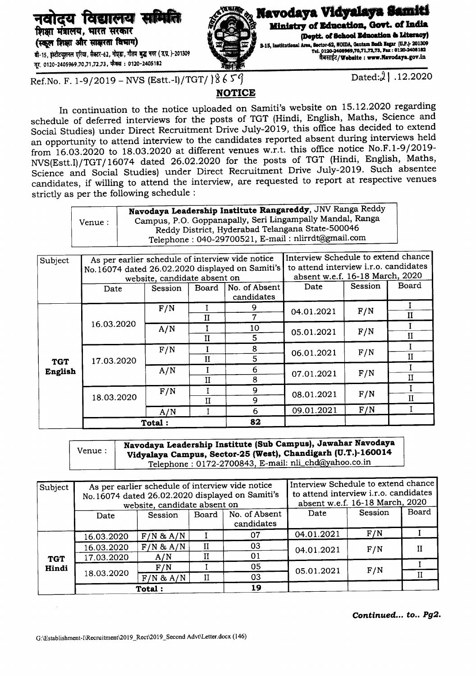## **नवादय स्वद्यालय**<br><sub>शिक्षा</sub> मंत्रालय, भारत सरकार (स्कल शिक्षा और साक्षरता विभाग)

बी-15, इंस्टीटयुशनल एरिया, सैक्टर-62, नोएडा, गौतम बुद्ध नगर ( उ.प. )-201309 यूर. 0120-2405969,70,71,72,73, फैक्स : 0120-2405182



Ref.No. F. 1-9/2019 - NVS (Estt.-I)/TGT/  $8659$  Dated: $2$ | .12.2020

## NOTICE

In continuation to the notice uploaded on Samiti's website on 15.12.2020 regarding schedule of deferred interviews for the posts of TGT (Hindi, English, Maths, Science and Social Studies) under Direct Recruitment Drive July-2019, this office has decided to extend an opportunity to attend interview to the candidates reported absent during interviews held from  $16.03.2020$  to 18.03.2020 at different venues w.r.t. this office notice No.F.1-9/2019-NVS(Estt.l)/TGT/16074 dated 26.02.2020 for the posts of TGT (Hindi, English, Maths, Science and Social Studies) under Direct Recruitment Drive July-2019. Such absentee candidates, if willing to attend the interview, are requested to report at respective venues strictly as per the following schedule:

|        | Navodaya Leadership Institute Rangareddy, JNV Ranga Reddy |  |
|--------|-----------------------------------------------------------|--|
| Venue: | Campus, P.O. Goppanapally, Seri Lingampally Mandal, Ranga |  |
|        | Reddy District, Hyderabad Telangana State-500046          |  |
|        | Telephone: 040-29700521, E-mail: nlirrdt@gmail.com        |  |
|        |                                                           |  |

| Subject    | As per earlier schedule of interview vide notice |                              |              | Interview Schedule to extend chance   |            |                |              |
|------------|--------------------------------------------------|------------------------------|--------------|---------------------------------------|------------|----------------|--------------|
|            | No.16074 dated 26.02.2020 displayed on Samiti's  |                              |              | to attend interview i.r.o. candidates |            |                |              |
|            |                                                  | website, candidate absent on |              | absent w.e.f. 16-18 March, 2020       |            |                |              |
|            | Date                                             | <b>Session</b>               | Board        | No. of Absent                         | Date       | <b>Session</b> | Board        |
|            |                                                  |                              |              | candidates                            |            |                |              |
|            |                                                  | F/N                          |              | 9                                     | 04.01.2021 | F/N            |              |
|            |                                                  |                              | $_{\rm II}$  | 7                                     |            |                | П            |
|            | 16.03.2020                                       | A/N                          |              | 10                                    | 05.01.2021 | F/N            |              |
|            |                                                  |                              | $\mathbf{I}$ | 5                                     |            |                | $\mathbf{I}$ |
|            | 17.03.2020                                       | F/N                          |              | 8                                     | 06.01.2021 | F/N            |              |
| <b>TGT</b> |                                                  |                              | H            | 5                                     |            |                | $_{\rm II}$  |
| English    |                                                  | A/N                          |              | 6                                     | 07.01.2021 | F/N            |              |
|            |                                                  |                              | $\mathbf{I}$ | 8                                     |            |                | и            |
|            | 18.03.2020                                       | F/N                          |              | 9                                     | 08.01.2021 | F/N            |              |
|            |                                                  |                              | и            | 9                                     |            |                | $\mathbf{H}$ |
|            |                                                  | A/N                          |              | 6                                     | 09.01.2021 | F/N            |              |
|            | 82<br><b>Total:</b>                              |                              |              |                                       |            |                |              |

Venue: Navodaya Leadership Institute (Sub Campus), Jawahar Navodaya Vidyalaya Campus, Sector-25 (West), Chandigarh (U.T.)-160014 Telephone: 0172-2700843, E-mail: nli\_chd@yahoo.co.in

| Subject    | No.16074 dated 26.02.2020 displayed on Samiti's | As per earlier schedule of interview vide notice | Interview Schedule to extend chance<br>to attend interview i.r.o. candidates |                                 |            |         |       |
|------------|-------------------------------------------------|--------------------------------------------------|------------------------------------------------------------------------------|---------------------------------|------------|---------|-------|
|            |                                                 | website, candidate absent on                     |                                                                              | absent w.e.f. 16-18 March, 2020 |            |         |       |
|            | Date                                            | Session                                          | Board                                                                        | No. of Absent                   | Date       | Session | Board |
|            |                                                 |                                                  |                                                                              | candidates                      |            |         |       |
|            | 16.03.2020                                      | $F/N$ & $A/N$                                    |                                                                              | 07                              | 04.01.2021 | F/N     |       |
|            | 16.03.2020                                      | $F/N$ & $A/N$                                    |                                                                              | 03                              | 04.01.2021 | F/N     |       |
| <b>TGT</b> | 17.03.2020                                      | A/N                                              |                                                                              | 01                              |            |         |       |
| Hindi      | 18.03.2020                                      | F/N                                              |                                                                              | 05                              | 05.01.2021 | F/N     |       |
|            |                                                 | $F/N$ & $A/N$                                    | П                                                                            | 03                              |            |         |       |
|            | Total:                                          |                                                  |                                                                              | 19                              |            |         |       |

*Continued•.. to.. Pg2.*